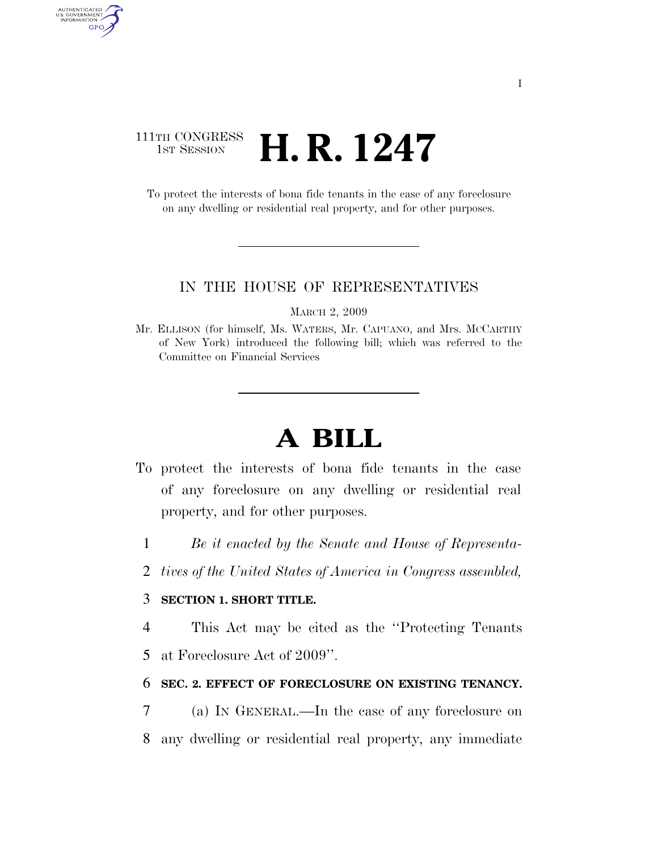# 111TH CONGRESS  $\frac{1}{15T}$  Session **H. R. 1247**

AUTHENTICATED<br>U.S. GOVERNMENT<br>INFORMATION GPO

> To protect the interests of bona fide tenants in the case of any foreclosure on any dwelling or residential real property, and for other purposes.

#### IN THE HOUSE OF REPRESENTATIVES

MARCH 2, 2009

Mr. ELLISON (for himself, Ms. WATERS, Mr. CAPUANO, and Mrs. MCCARTHY of New York) introduced the following bill; which was referred to the Committee on Financial Services

# **A BILL**

- To protect the interests of bona fide tenants in the case of any foreclosure on any dwelling or residential real property, and for other purposes.
	- 1 *Be it enacted by the Senate and House of Representa-*
	- 2 *tives of the United States of America in Congress assembled,*

## 3 **SECTION 1. SHORT TITLE.**

4 This Act may be cited as the ''Protecting Tenants

5 at Foreclosure Act of 2009''.

### 6 **SEC. 2. EFFECT OF FORECLOSURE ON EXISTING TENANCY.**

7 (a) IN GENERAL.—In the case of any foreclosure on 8 any dwelling or residential real property, any immediate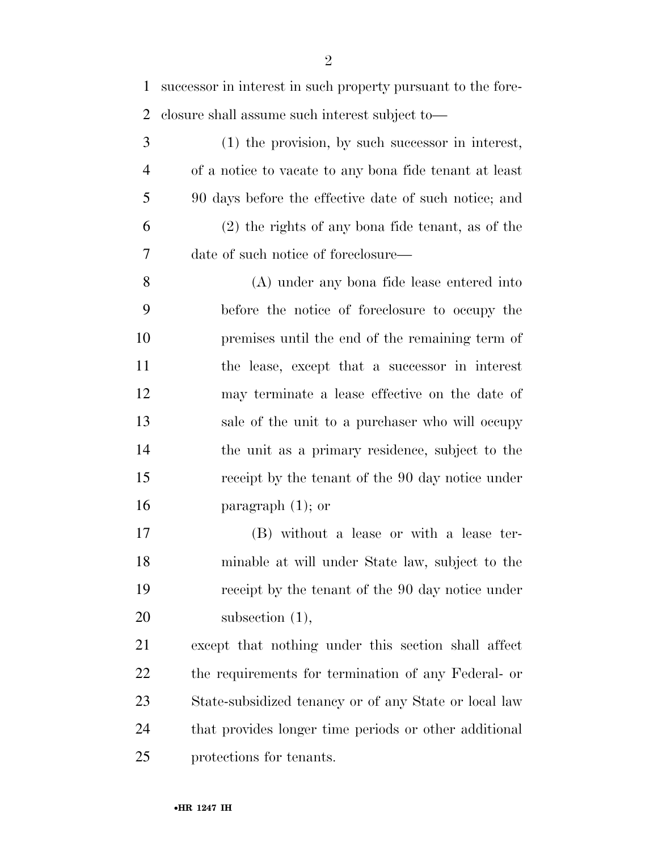successor in interest in such property pursuant to the fore-closure shall assume such interest subject to—

 (1) the provision, by such successor in interest, of a notice to vacate to any bona fide tenant at least 90 days before the effective date of such notice; and (2) the rights of any bona fide tenant, as of the date of such notice of foreclosure—

 (A) under any bona fide lease entered into before the notice of foreclosure to occupy the premises until the end of the remaining term of the lease, except that a successor in interest may terminate a lease effective on the date of sale of the unit to a purchaser who will occupy the unit as a primary residence, subject to the receipt by the tenant of the 90 day notice under paragraph (1); or

 (B) without a lease or with a lease ter- minable at will under State law, subject to the receipt by the tenant of the 90 day notice under 20 subsection (1),

 except that nothing under this section shall affect the requirements for termination of any Federal- or State-subsidized tenancy or of any State or local law 24 that provides longer time periods or other additional protections for tenants.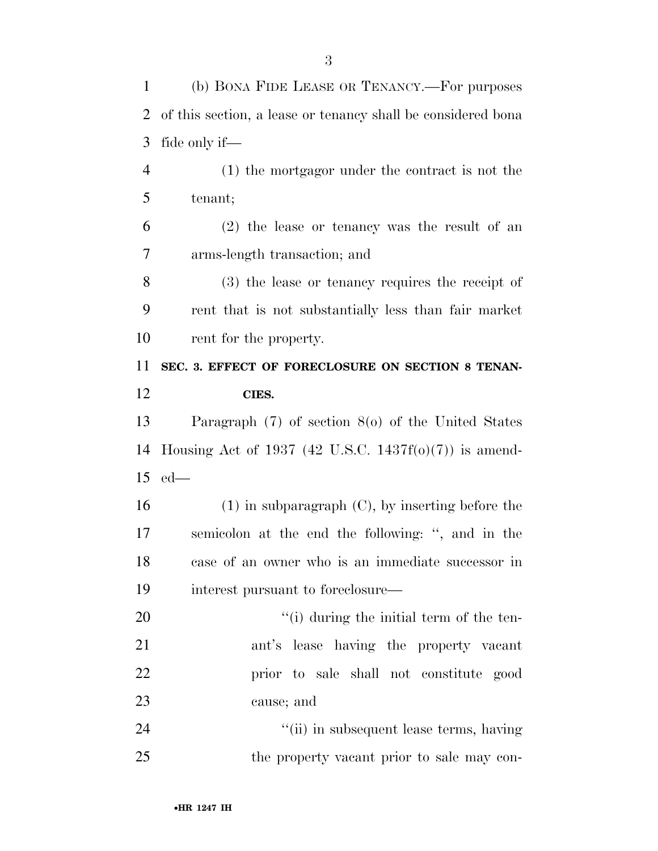(b) BONA FIDE LEASE OR TENANCY.—For purposes

| $\overline{2}$ | of this section, a lease or tenancy shall be considered bona |
|----------------|--------------------------------------------------------------|
| 3              | fide only if—                                                |
| $\overline{4}$ | (1) the mortgagor under the contract is not the              |
| 5              | tenant;                                                      |
| 6              | $(2)$ the lease or tenancy was the result of an              |
| 7              | arms-length transaction; and                                 |
| 8              | $(3)$ the lease or tenancy requires the receipt of           |
| 9              | rent that is not substantially less than fair market         |
| 10             | rent for the property.                                       |
| 11             | SEC. 3. EFFECT OF FORECLOSURE ON SECTION 8 TENAN-            |
| 12             | CIES.                                                        |
| 13             | Paragraph $(7)$ of section $8(0)$ of the United States       |
|                |                                                              |
| 14             | Housing Act of 1937 (42 U.S.C. 1437f(o)(7)) is amend-        |
| 15             | $ed$ —                                                       |
| 16             | $(1)$ in subparagraph $(C)$ , by inserting before the        |
| 17             | semicolon at the end the following: ", and in the            |
| 18             | case of an owner who is an immediate successor in            |
| 19             | interest pursuant to foreclosure—                            |
| 20             | "(i) during the initial term of the ten-                     |
| 21             | ant's lease having the property vacant                       |
| 22             | prior to sale shall not constitute good                      |
| 23             | cause; and                                                   |
| 24             | "(ii) in subsequent lease terms, having                      |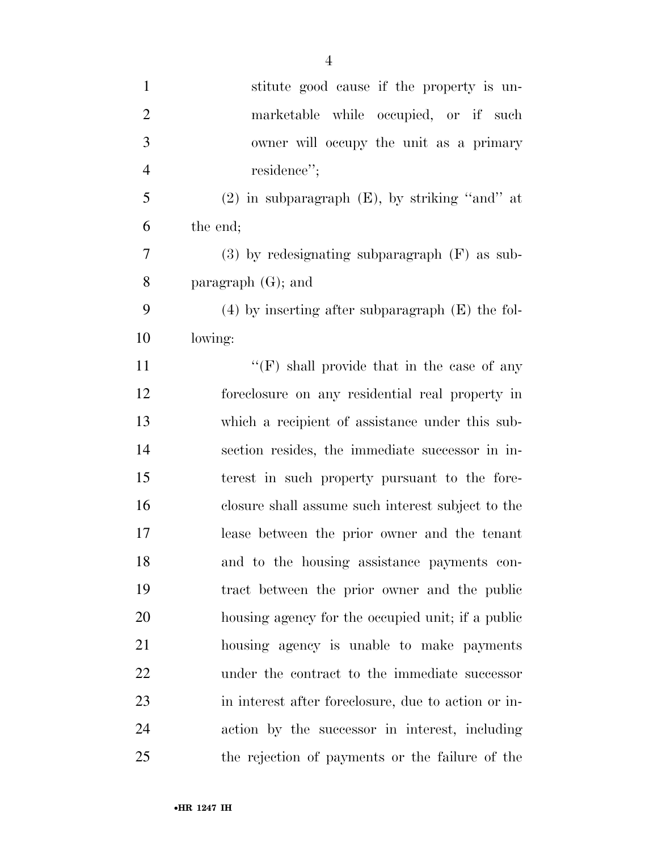| $\mathbf{1}$   | stitute good cause if the property is un-            |
|----------------|------------------------------------------------------|
| $\overline{2}$ | marketable while occupied, or if such                |
| 3              | owner will occupy the unit as a primary              |
| $\overline{4}$ | residence";                                          |
| 5              | $(2)$ in subparagraph $(E)$ , by striking "and" at   |
| 6              | the end;                                             |
| 7              | $(3)$ by redesignating subparagraph $(F)$ as sub-    |
| 8              | paragraph $(G)$ ; and                                |
| 9              | $(4)$ by inserting after subparagraph $(E)$ the fol- |
| 10             | lowing:                                              |
| 11             | " $(F)$ shall provide that in the case of any        |
| 12             | foreclosure on any residential real property in      |
| 13             | which a recipient of assistance under this sub-      |
| 14             | section resides, the immediate successor in in-      |
| 15             | terest in such property pursuant to the fore-        |
| 16             | closure shall assume such interest subject to the    |
| 17             | lease between the prior owner and the tenant         |
| 18             | and to the housing assistance payments con-          |
| 19             | tract between the prior owner and the public         |
| 20             | housing agency for the occupied unit; if a public    |
| 21             | housing agency is unable to make payments            |
| 22             | under the contract to the immediate successor        |
| 23             | in interest after foreclosure, due to action or in-  |
| 24             | action by the successor in interest, including       |
| 25             | the rejection of payments or the failure of the      |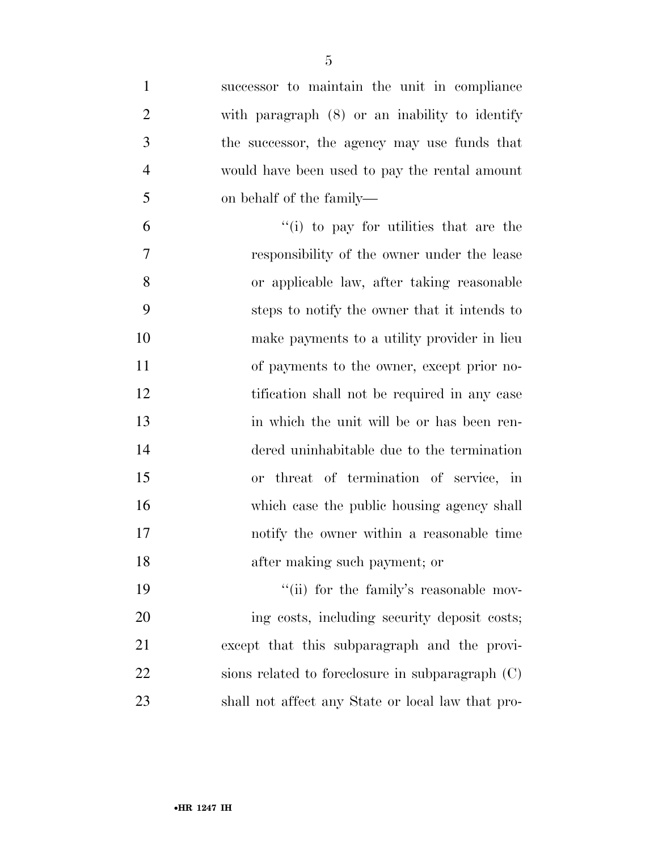| $\mathbf{1}$   | successor to maintain the unit in compliance       |
|----------------|----------------------------------------------------|
| $\overline{2}$ | with paragraph $(8)$ or an inability to identify   |
| 3              | the successor, the agency may use funds that       |
| $\overline{4}$ | would have been used to pay the rental amount      |
| 5              | on behalf of the family—                           |
| 6              | $f'(i)$ to pay for utilities that are the          |
| 7              | responsibility of the owner under the lease        |
| 8              | or applicable law, after taking reasonable         |
| 9              | steps to notify the owner that it intends to       |
| 10             | make payments to a utility provider in lieu        |
| 11             | of payments to the owner, except prior no-         |
| 12             | tification shall not be required in any case       |
| 13             | in which the unit will be or has been ren-         |
| 14             | dered uninhabitable due to the termination         |
| 15             | or threat of termination of service, in            |
| 16             | which case the public housing agency shall         |
| 17             | notify the owner within a reasonable time          |
| 18             | after making such payment; or                      |
| 19             | "(ii) for the family's reasonable mov-             |
| 20             | ing costs, including security deposit costs;       |
| 21             | except that this subparagraph and the provi-       |
| 22             | sions related to foreclosure in subparagraph $(C)$ |
| 23             | shall not affect any State or local law that pro-  |
|                |                                                    |